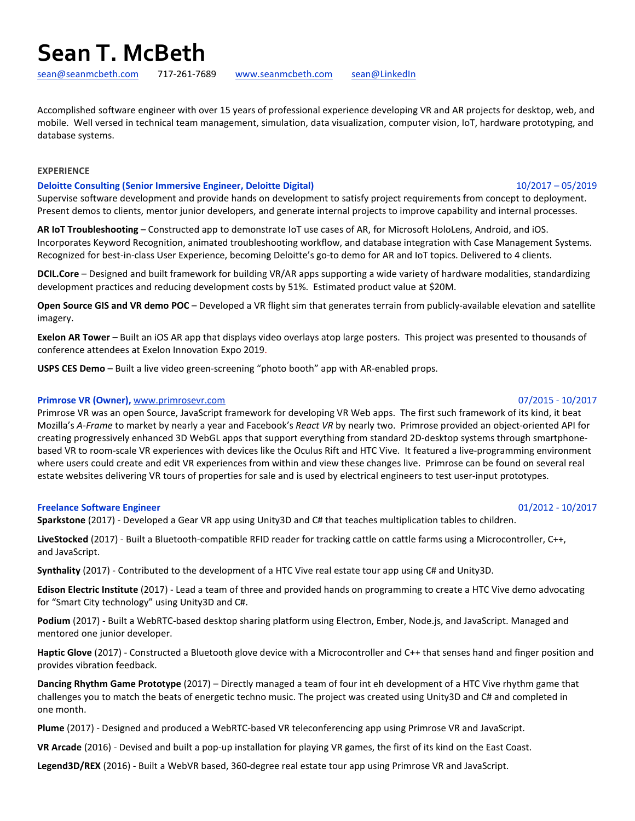# **Sean T. McBeth**

[sean@seanmcbeth.com](mailto:sean@seanmcbeth.com) 717-261-7689 [www.seanmcbeth.com](http://www.seanmcbeth.com/) [sean@LinkedIn](https://www.linkedin.com/in/sean-mcbeth-3787276/)

Accomplished software engineer with over 15 years of professional experience developing VR and AR projects for desktop, web, and mobile. Well versed in technical team management, simulation, data visualization, computer vision, IoT, hardware prototyping, and database systems.

## **EXPERIENCE**

### **Deloitte Consulting (Senior Immersive Engineer, Deloitte Digital)** 10/2017 – 05/2019

Supervise software development and provide hands on development to satisfy project requirements from concept to deployment. Present demos to clients, mentor junior developers, and generate internal projects to improve capability and internal processes.

**AR IoT Troubleshooting** – Constructed app to demonstrate IoT use cases of AR, for Microsoft HoloLens, Android, and iOS. Incorporates Keyword Recognition, animated troubleshooting workflow, and database integration with Case Management Systems. Recognized for best-in-class User Experience, becoming Deloitte's go-to demo for AR and IoT topics. Delivered to 4 clients.

**DCIL.Core** – Designed and built framework for building VR/AR apps supporting a wide variety of hardware modalities, standardizing development practices and reducing development costs by 51%. Estimated product value at \$20M.

**Open Source GIS and VR demo POC** – Developed a VR flight sim that generates terrain from publicly-available elevation and satellite imagery.

**Exelon AR Tower** – Built an iOS AR app that displays video overlays atop large posters. This project was presented to thousands of conference attendees at Exelon Innovation Expo 2019.

**USPS CES Demo** – Built a live video green-screening "photo booth" app with AR-enabled props.

### **Primrose VR (Owner),** [www.primrosevr.com](http://www.primrosevr.com/) 07/2015 - 10/2017

# Primrose VR was an open Source, JavaScript framework for developing VR Web apps. The first such framework of its kind, it beat Mozilla's *A-Frame* to market by nearly a year and Facebook's *React VR* by nearly two. Primrose provided an object-oriented API for creating progressively enhanced 3D WebGL apps that support everything from standard 2D-desktop systems through smartphonebased VR to room-scale VR experiences with devices like the Oculus Rift and HTC Vive. It featured a live-programming environment where users could create and edit VR experiences from within and view these changes live. Primrose can be found on several real estate websites delivering VR tours of properties for sale and is used by electrical engineers to test user-input prototypes.

### **Freelance Software Engineer** 01/2012 - 10/2017

**Sparkstone** (2017) - Developed a Gear VR app using Unity3D and C# that teaches multiplication tables to children.

**LiveStocked** (2017) - Built a Bluetooth-compatible RFID reader for tracking cattle on cattle farms using a Microcontroller, C++, and JavaScript.

**Synthality** (2017) - Contributed to the development of a HTC Vive real estate tour app using C# and Unity3D.

**Edison Electric Institute** (2017) - Lead a team of three and provided hands on programming to create a HTC Vive demo advocating for "Smart City technology" using Unity3D and C#.

**Podium** (2017) - Built a WebRTC-based desktop sharing platform using Electron, Ember, Node.js, and JavaScript. Managed and mentored one junior developer.

**Haptic Glove** (2017) - Constructed a Bluetooth glove device with a Microcontroller and C++ that senses hand and finger position and provides vibration feedback.

**Dancing Rhythm Game Prototype** (2017) – Directly managed a team of four int eh development of a HTC Vive rhythm game that challenges you to match the beats of energetic techno music. The project was created using Unity3D and C# and completed in one month.

**Plume** (2017) - Designed and produced a WebRTC-based VR teleconferencing app using Primrose VR and JavaScript.

**VR Arcade** (2016) - Devised and built a pop-up installation for playing VR games, the first of its kind on the East Coast.

**Legend3D/REX** (2016) - Built a WebVR based, 360-degree real estate tour app using Primrose VR and JavaScript.